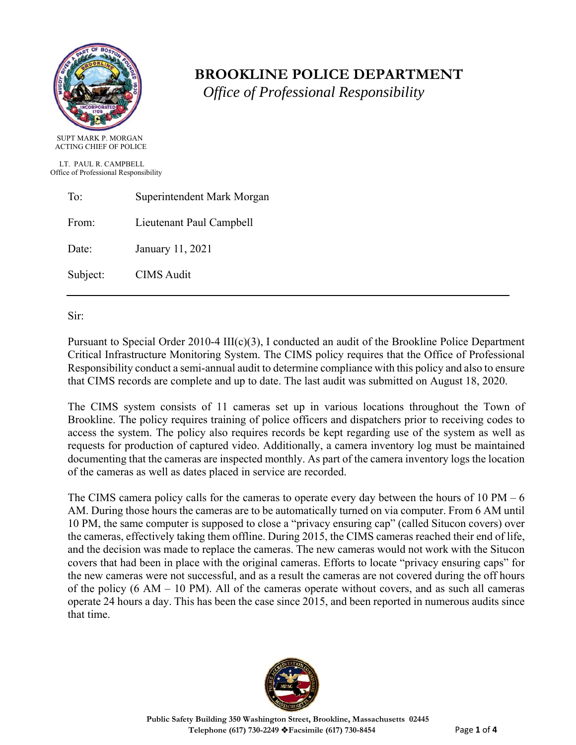

# **BROOKLINE POLICE DEPARTMENT**

 *Office of Professional Responsibility*

LT. PAUL R. CAMPBELL Office of Professional Responsibility

ACTING CHIEF OF POLICE

| To:      | Superintendent Mark Morgan |
|----------|----------------------------|
| From:    | Lieutenant Paul Campbell   |
| Date:    | January 11, 2021           |
| Subject: | <b>CIMS</b> Audit          |

Sir:

Pursuant to Special Order 2010-4 III(c)(3), I conducted an audit of the Brookline Police Department Critical Infrastructure Monitoring System. The CIMS policy requires that the Office of Professional Responsibility conduct a semi-annual audit to determine compliance with this policy and also to ensure that CIMS records are complete and up to date. The last audit was submitted on August 18, 2020.

The CIMS system consists of 11 cameras set up in various locations throughout the Town of Brookline. The policy requires training of police officers and dispatchers prior to receiving codes to access the system. The policy also requires records be kept regarding use of the system as well as requests for production of captured video. Additionally, a camera inventory log must be maintained documenting that the cameras are inspected monthly. As part of the camera inventory logs the location of the cameras as well as dates placed in service are recorded.

The CIMS camera policy calls for the cameras to operate every day between the hours of 10 PM  $-6$ AM. During those hours the cameras are to be automatically turned on via computer. From 6 AM until 10 PM, the same computer is supposed to close a "privacy ensuring cap" (called Situcon covers) over the cameras, effectively taking them offline. During 2015, the CIMS cameras reached their end of life, and the decision was made to replace the cameras. The new cameras would not work with the Situcon covers that had been in place with the original cameras. Efforts to locate "privacy ensuring caps" for the new cameras were not successful, and as a result the cameras are not covered during the off hours of the policy  $(6 \text{ AM} - 10 \text{ PM})$ . All of the cameras operate without covers, and as such all cameras operate 24 hours a day. This has been the case since 2015, and been reported in numerous audits since that time.

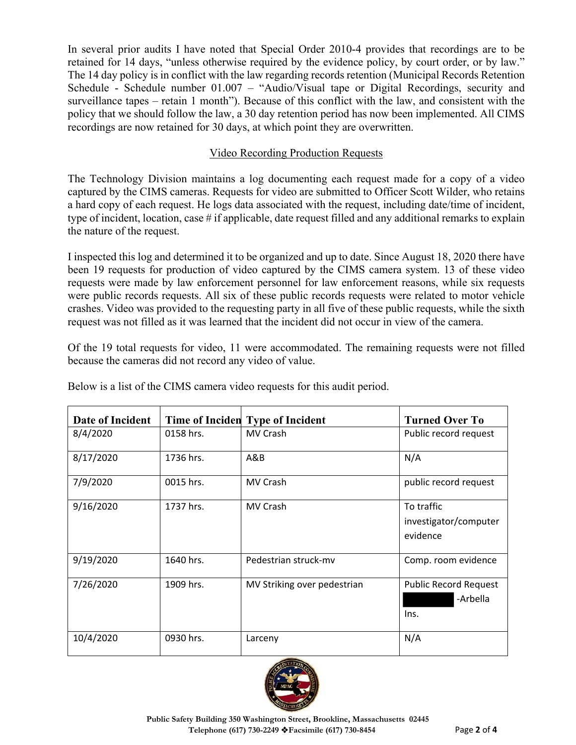In several prior audits I have noted that Special Order 2010-4 provides that recordings are to be retained for 14 days, "unless otherwise required by the evidence policy, by court order, or by law." The 14 day policy is in conflict with the law regarding records retention (Municipal Records Retention Schedule - Schedule number 01.007 – "Audio/Visual tape or Digital Recordings, security and surveillance tapes – retain 1 month"). Because of this conflict with the law, and consistent with the policy that we should follow the law, a 30 day retention period has now been implemented. All CIMS recordings are now retained for 30 days, at which point they are overwritten.

## Video Recording Production Requests

The Technology Division maintains a log documenting each request made for a copy of a video captured by the CIMS cameras. Requests for video are submitted to Officer Scott Wilder, who retains a hard copy of each request. He logs data associated with the request, including date/time of incident, type of incident, location, case # if applicable, date request filled and any additional remarks to explain the nature of the request.

I inspected this log and determined it to be organized and up to date. Since August 18, 2020 there have been 19 requests for production of video captured by the CIMS camera system. 13 of these video requests were made by law enforcement personnel for law enforcement reasons, while six requests were public records requests. All six of these public records requests were related to motor vehicle crashes. Video was provided to the requesting party in all five of these public requests, while the sixth request was not filled as it was learned that the incident did not occur in view of the camera.

Of the 19 total requests for video, 11 were accommodated. The remaining requests were not filled because the cameras did not record any video of value.

| Date of Incident |           | Time of Inciden Type of Incident | <b>Turned Over To</b>                            |
|------------------|-----------|----------------------------------|--------------------------------------------------|
| 8/4/2020         | 0158 hrs. | MV Crash                         | Public record request                            |
| 8/17/2020        | 1736 hrs. | A&B                              | N/A                                              |
| 7/9/2020         | 0015 hrs. | MV Crash                         | public record request                            |
| 9/16/2020        | 1737 hrs. | MV Crash                         | To traffic<br>investigator/computer<br>evidence  |
| 9/19/2020        | 1640 hrs. | Pedestrian struck-my             | Comp. room evidence                              |
| 7/26/2020        | 1909 hrs. | MV Striking over pedestrian      | <b>Public Record Request</b><br>-Arbella<br>Ins. |
| 10/4/2020        | 0930 hrs. | Larceny                          | N/A                                              |

Below is a list of the CIMS camera video requests for this audit period.

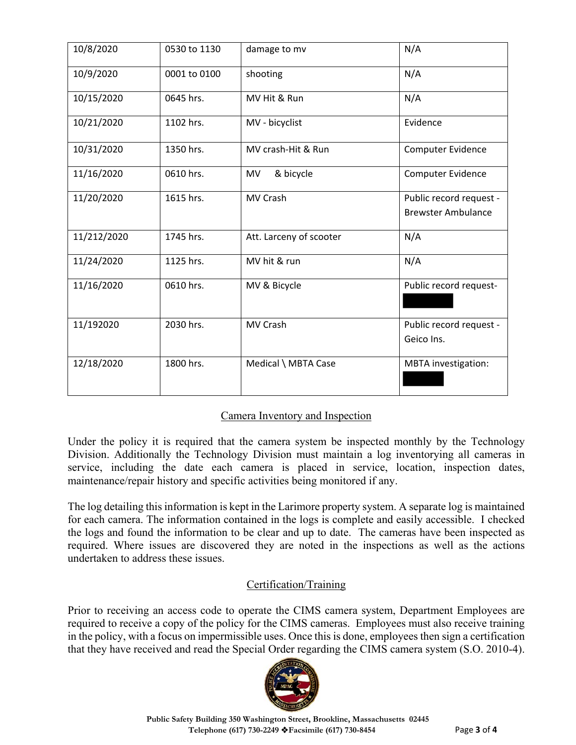| 10/8/2020   | 0530 to 1130 | damage to mv            | N/A                                                  |
|-------------|--------------|-------------------------|------------------------------------------------------|
| 10/9/2020   | 0001 to 0100 | shooting                | N/A                                                  |
| 10/15/2020  | 0645 hrs.    | MV Hit & Run            | N/A                                                  |
| 10/21/2020  | 1102 hrs.    | MV - bicyclist          | Evidence                                             |
| 10/31/2020  | 1350 hrs.    | MV crash-Hit & Run      | Computer Evidence                                    |
| 11/16/2020  | 0610 hrs.    | & bicycle<br><b>MV</b>  | Computer Evidence                                    |
| 11/20/2020  | 1615 hrs.    | MV Crash                | Public record request -<br><b>Brewster Ambulance</b> |
| 11/212/2020 | 1745 hrs.    | Att. Larceny of scooter | N/A                                                  |
| 11/24/2020  | 1125 hrs.    | MV hit & run            | N/A                                                  |
| 11/16/2020  | 0610 hrs.    | MV & Bicycle            | Public record request-                               |
| 11/192020   | 2030 hrs.    | MV Crash                | Public record request -<br>Geico Ins.                |
| 12/18/2020  | 1800 hrs.    | Medical \ MBTA Case     | <b>MBTA</b> investigation:                           |

### Camera Inventory and Inspection

Under the policy it is required that the camera system be inspected monthly by the Technology Division. Additionally the Technology Division must maintain a log inventorying all cameras in service, including the date each camera is placed in service, location, inspection dates, maintenance/repair history and specific activities being monitored if any.

The log detailing this information is kept in the Larimore property system. A separate log is maintained for each camera. The information contained in the logs is complete and easily accessible. I checked the logs and found the information to be clear and up to date. The cameras have been inspected as required. Where issues are discovered they are noted in the inspections as well as the actions undertaken to address these issues.

### Certification/Training

Prior to receiving an access code to operate the CIMS camera system, Department Employees are required to receive a copy of the policy for the CIMS cameras. Employees must also receive training in the policy, with a focus on impermissible uses. Once this is done, employees then sign a certification that they have received and read the Special Order regarding the CIMS camera system (S.O. 2010-4).